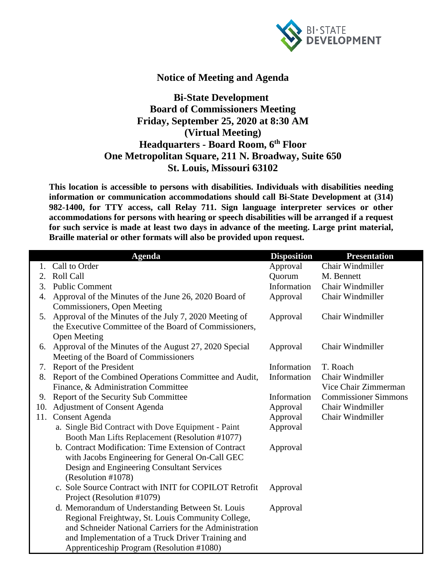

## **Notice of Meeting and Agenda**

## **Bi-State Development Board of Commissioners Meeting Friday, September 25, 2020 at 8:30 AM (Virtual Meeting) Headquarters - Board Room, 6th Floor One Metropolitan Square, 211 N. Broadway, Suite 650 St. Louis, Missouri 63102**

**This location is accessible to persons with disabilities. Individuals with disabilities needing information or communication accommodations should call Bi-State Development at (314) 982-1400, for TTY access, call Relay 711. Sign language interpreter services or other accommodations for persons with hearing or speech disabilities will be arranged if a request for such service is made at least two days in advance of the meeting. Large print material, Braille material or other formats will also be provided upon request.**

|     | <b>Agenda</b>                                          | <b>Disposition</b> | <b>Presentation</b>         |
|-----|--------------------------------------------------------|--------------------|-----------------------------|
| 1.  | Call to Order                                          | Approval           | Chair Windmiller            |
| 2.  | <b>Roll Call</b>                                       | Quorum             | M. Bennett                  |
| 3.  | <b>Public Comment</b>                                  | Information        | Chair Windmiller            |
| 4.  | Approval of the Minutes of the June 26, 2020 Board of  | Approval           | Chair Windmiller            |
|     | Commissioners, Open Meeting                            |                    |                             |
| 5.  | Approval of the Minutes of the July 7, 2020 Meeting of | Approval           | Chair Windmiller            |
|     | the Executive Committee of the Board of Commissioners, |                    |                             |
|     | <b>Open Meeting</b>                                    |                    |                             |
| 6.  | Approval of the Minutes of the August 27, 2020 Special | Approval           | Chair Windmiller            |
|     | Meeting of the Board of Commissioners                  |                    |                             |
| 7.  | Report of the President                                | Information        | T. Roach                    |
| 8.  | Report of the Combined Operations Committee and Audit, | Information        | Chair Windmiller            |
|     | Finance, & Administration Committee                    |                    | Vice Chair Zimmerman        |
| 9.  | Report of the Security Sub Committee                   | Information        | <b>Commissioner Simmons</b> |
| 10. | <b>Adjustment of Consent Agenda</b>                    | Approval           | Chair Windmiller            |
| 11. | Consent Agenda                                         | Approval           | Chair Windmiller            |
|     | a. Single Bid Contract with Dove Equipment - Paint     | Approval           |                             |
|     | Booth Man Lifts Replacement (Resolution #1077)         |                    |                             |
|     | b. Contract Modification: Time Extension of Contract   | Approval           |                             |
|     | with Jacobs Engineering for General On-Call GEC        |                    |                             |
|     | Design and Engineering Consultant Services             |                    |                             |
|     | (Resolution #1078)                                     |                    |                             |
|     | c. Sole Source Contract with INIT for COPILOT Retrofit | Approval           |                             |
|     | Project (Resolution #1079)                             |                    |                             |
|     | d. Memorandum of Understanding Between St. Louis       | Approval           |                             |
|     | Regional Freightway, St. Louis Community College,      |                    |                             |
|     | and Schneider National Carriers for the Administration |                    |                             |
|     | and Implementation of a Truck Driver Training and      |                    |                             |
|     | Apprenticeship Program (Resolution #1080)              |                    |                             |